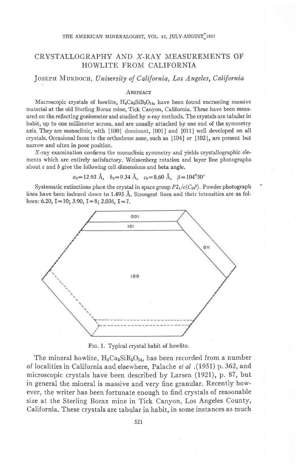## THE AMERICAN MINERALOGIST, VOL. 42, JULY-AUGUST 1957

# CRYSTALLOGRAPHY AND X-RAY MEASUREMENTS OF HOWLITE FROM CALIFORNIA

JOSEPH MURDOCH, University of California, Los Angeles, California

#### **ABSTRACT**

Macroscopic crystals of howlite,  $H_5Ca_2SiB_5O_{14}$ , have been found encrusting massive material at the old Sterling Borax mine, Tick Canyon, California. These have been measured on the reflecting goniometer and studied by x-ray methods. The crystals are tabular in habit, up to one millimeter across, and are usually attached by one end of the symmetry axis. They are monoclinic, with {100} dominant, {001} and {011} well developed on all crystals. Occasional faces in the orthodome zone, such as  $\{104\}$  or  $\{102\}$ , are present but narrow and often in poor position.

X-ray examination confrms the monoclinic symmetry and yields crystallographic elements which are entirely satisfactory. Weissenberg rotation and layer line photographs about  $c$  and  $b$  give the following cell dimensions and beta angle.

 $a_0=12.93 \text{ Å}, b_0=9.34 \text{ Å}, c_0=8.60 \text{ Å}, \beta=104^{\circ}50'$ 

Systematic extinctions place the crystal in space group  $P2_1/c(C_{2h}^5)$ . Powder photograph lines have been indexed down to 1.495 A. Strongest lines and their intensities are as follows: 6.20,  $I=10$ ; 3.90,  $I=8$ ; 2.036,  $I=7$ .



Frc. 1. Typical crystal habit of howlite.

The mineral howlite,  $H_5Ca_2SiB_5O_{14}$ , has been recorded from a number of localities in California and elsewhere, Palache et al .(1951) p. 362, and microscopic crystals have been described by Larsen (1921), p. 87, but in general the mineral is massive and very fine granular. Recently however, the writer has been fortunate enough to find crystals of reasonable size at the Sterling Borax mine in Tick Canyon, Los Angeles County, California. These crystals are tabular in habit, in some instances as much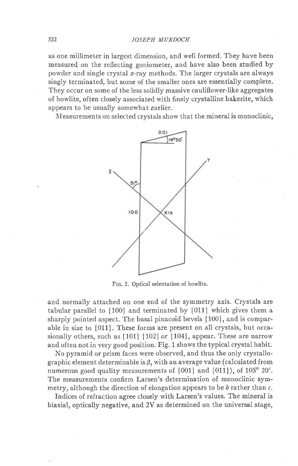as one millimeter in largest dimension, and well formed. They have been measured on the reflecting goniometer, and have also been studied by powder and single crystal  $x$ -ray methods. The larger crystals are always singly terminated, but some of the smaller ones are essentially complete. They occur on some of the less solidly massive cauliflower-like aggregates of howlite, often closely associated with finely crystalline bakerite, which appears to be usually somewhat earlier.

Measurements on selected crvstals show that the mineral is monoclinic,



Frc, 2. Optical orientation of howlite.

and normally attached on one end of the symmetry axis. Crystals are tabular parallel to {100} and terminated by {011} which gives them a sharply pointed aspect. The basal pinacoid bevels {100}, and is comparable in size to {011}. These forms are present on all crystals, but occasionally others, such as {101} {102} or {104}, appear. These are narrow and often not in very good position. Fig. 1 shows the typical crystal habit.

No pyramid or prism faces were observed, and thus the only crystallographic element determinable is  $\beta$ , with an average value (calculated from numerous good quality measurements of  $\{001\}$  and  $\{011\}$ , of  $105^{\circ}$  20'. The measurements confirm Larsen's determination of monoclinic symmetry, although the direction of elongation appears to be  $b$  rather than  $c$ .

Indices of refraction agree closely with Larsen's values. The mineral is biaxial, optically negative, and 2V as determined on the universal stage,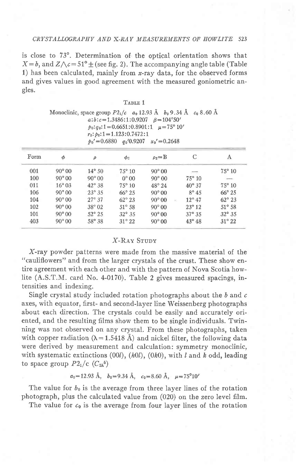## CRYSTALLOGRAPHY AND X-RAY MEASUREMENTS OF HOWLITE 523

is close to 73°. Determination of the optical orientation shows that  $X=b$ , and  $Z\wedge c=51^{\circ}$  (see fig. 2). The accompanying angle table (Table 1) has been calculated, mainly from  $x$ -ray data, for the observed forms and gives values in good agreement with the measured goniometric angles.

TABLE 1

|      |                  |                 | $r_2$ : $p_2$ : 1 = 1.123:0.7472:1 | $a:b:c=1.3486:1:0.9207 \quad \beta=104^{\circ}50'$<br>$p_0:q_0:1=0.6651:0.8901:1$ $\mu=75^{\circ} 10'$<br>$p_0' = 0.6880$ $q_0' 0.9207$ $x_0' = 0.2648$ | Monoclinic, space group $P2_1/c$ $a_0$ 12.93 Å $b_0$ 9.34 Å $c_0$ 8.60 Å |                          |
|------|------------------|-----------------|------------------------------------|---------------------------------------------------------------------------------------------------------------------------------------------------------|--------------------------------------------------------------------------|--------------------------|
| Form | $\phi$           | $\rho$          | $\phi_2$                           | $\rho_2 = B$                                                                                                                                            | C                                                                        | Α                        |
| 001  | $90^{\circ}00$   | $14^{\circ} 50$ | $75^{\circ} 10$                    | $90^{\circ}00$                                                                                                                                          |                                                                          | $75^{\circ} 10$          |
| 100  | $90^\circ 00$    | $90^{\circ}00$  | $0^\circ 00$                       | $90^\circ 00$                                                                                                                                           | $75^\circ 10$                                                            | $\overline{\phantom{m}}$ |
| 011  | $16^{\circ}$ 0.3 | $42^{\circ}$ 38 | $75^{\circ} 10$                    | $48^\circ 24$                                                                                                                                           | $40^{\circ}$ 37                                                          | $75^\circ 10$            |
| 106  | $90^\circ 00$    | $23^{\circ}35$  | $66^{\circ}$ 25                    | $90^\circ 00$                                                                                                                                           | $8^\circ 45$                                                             | $66^{\circ} 25$          |
| 104  | $90^\circ 00$    | $27^\circ 37$   | $62^{\circ} 23$                    | $90^{\circ}00$                                                                                                                                          | $12^{\circ} 47$<br>$\geq$                                                | $62^{\circ} 23$          |
| 102  | $90^{\circ} 00$  | $38^\circ 02$   | $51^{\circ}$ 58                    | $90^\circ 00$                                                                                                                                           | $23^{\circ}$ 12                                                          | $51^\circ 58$            |
| 101  | $90^\circ 00$    | $52^{\circ} 25$ | $32^{\circ}$ 35                    | $90^\circ 00$                                                                                                                                           | $37^{\circ} 35$                                                          | $32^{\circ}$ 35          |
| 403  | $90^{\circ}00$   | 58° 38          | $31^{\circ} 22$                    | $90^{\circ}00$                                                                                                                                          | $43^\circ 48$                                                            | $31^\circ 22$            |

# X-Rav Srury

X-ray powder patterns were made from the massive material of the "cauliflowers" and from the larger crystals of the crust. These show entire agreement with each other and with the pattern of Nova Scotia howlite (A.S.T.M. card No. 4-0170). Table 2 gives measured spacings, intensities and indexing.

Single crystal study included rotation photographs about the  $b$  and  $c$ axes, with equator, first- and second-layer line Weissenberg photographs about each direction. The crystals could be easily and accurately oriented, and the resulting films show them to be single individuals. Twinning was not observed on any crystal. From these photographs, taken with copper radiation  $(\lambda = 1.5418 \text{ Å})$  and nickel filter, the following data were derived by measurement and calculation: symmetry monoclinic, with systematic extinctions (00l), (h0l), (0k0), with l and k odd, leading to space group  $P2_1/c$  ( $C_{2h}^5$ )

 $a_0=12.93 \text{ Å}, b_0=9.34 \text{ Å}, c_0=8.60 \text{ Å}, \mu=75^{\circ}10'$ 

The value for  $b_0$  is the average from three layer lines of the rotation photograph, plus the calculated value from (020) on the zero level film.

The value for  $c_0$  is the average from four layer lines of the rotation